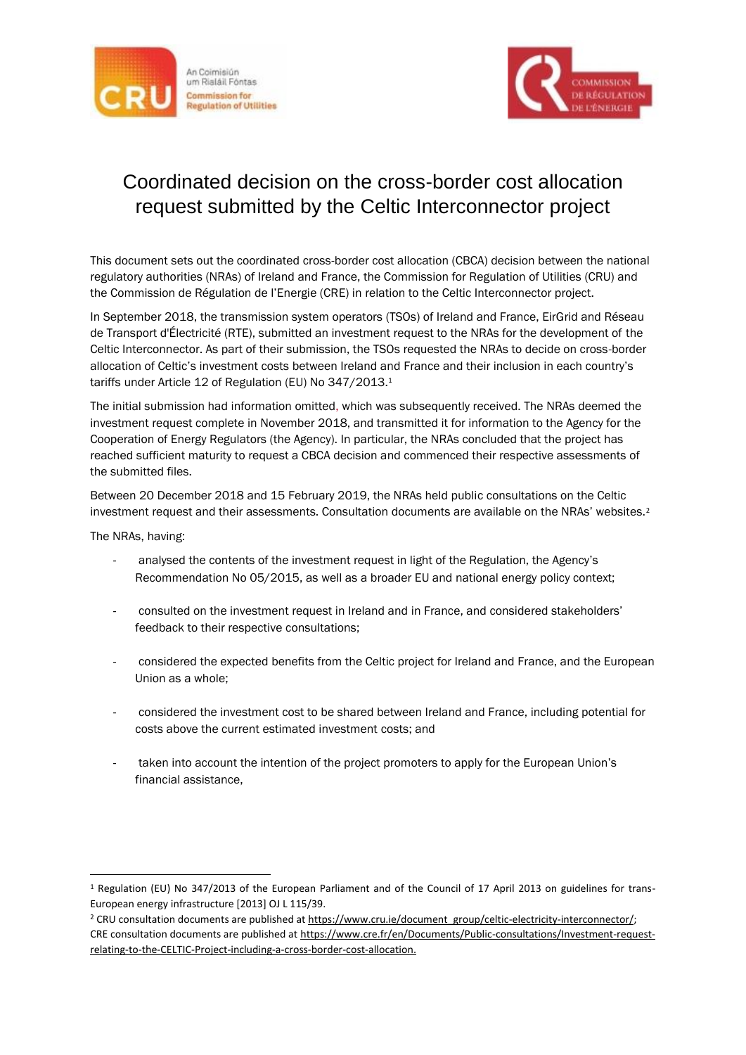



## Coordinated decision on the cross-border cost allocation request submitted by the Celtic Interconnector project

This document sets out the coordinated cross-border cost allocation (CBCA) decision between the national regulatory authorities (NRAs) of Ireland and France, the Commission for Regulation of Utilities (CRU) and the Commission de Régulation de l'Energie (CRE) in relation to the Celtic Interconnector project.

In September 2018, the transmission system operators (TSOs) of Ireland and France, EirGrid and Réseau de Transport d'Électricité (RTE), submitted an investment request to the NRAs for the development of the Celtic Interconnector. As part of their submission, the TSOs requested the NRAs to decide on cross-border allocation of Celtic's investment costs between Ireland and France and their inclusion in each country's tariffs under Article 12 of Regulation (EU) No 347/2013.<sup>1</sup>

The initial submission had information omitted, which was subsequently received. The NRAs deemed the investment request complete in November 2018, and transmitted it for information to the Agency for the Cooperation of Energy Regulators (the Agency). In particular, the NRAs concluded that the project has reached sufficient maturity to request a CBCA decision and commenced their respective assessments of the submitted files.

Between 20 December 2018 and 15 February 2019, the NRAs held public consultations on the Celtic investment request and their assessments. Consultation documents are available on the NRAs' websites.<sup>2</sup>

The NRAs, having:

<u>.</u>

- analysed the contents of the investment request in light of the Regulation, the Agency's Recommendation No 05/2015, as well as a broader EU and national energy policy context;
- consulted on the investment request in Ireland and in France, and considered stakeholders' feedback to their respective consultations;
- considered the expected benefits from the Celtic project for Ireland and France, and the European Union as a whole;
- considered the investment cost to be shared between Ireland and France, including potential for costs above the current estimated investment costs; and
- taken into account the intention of the project promoters to apply for the European Union's financial assistance,

<sup>1</sup> Regulation (EU) No 347/2013 of the European Parliament and of the Council of 17 April 2013 on guidelines for trans-European energy infrastructure [2013] OJ L 115/39.

<sup>&</sup>lt;sup>2</sup> CRU consultation documents are published at [https://www.cru.ie/document\\_group/celtic-electricity-interconnector/;](https://www.cru.ie/document_group/celtic-electricity-interconnector/) CRE consultation documents are published at [https://www.cre.fr/en/Documents/Public-consultations/Investment-request](https://www.cre.fr/en/Documents/Public-consultations/Investment-request-relating-to-the-CELTIC-Project-including-a-cross-border-cost-allocation)[relating-to-the-CELTIC-Project-including-a-cross-border-cost-allocation.](https://www.cre.fr/en/Documents/Public-consultations/Investment-request-relating-to-the-CELTIC-Project-including-a-cross-border-cost-allocation)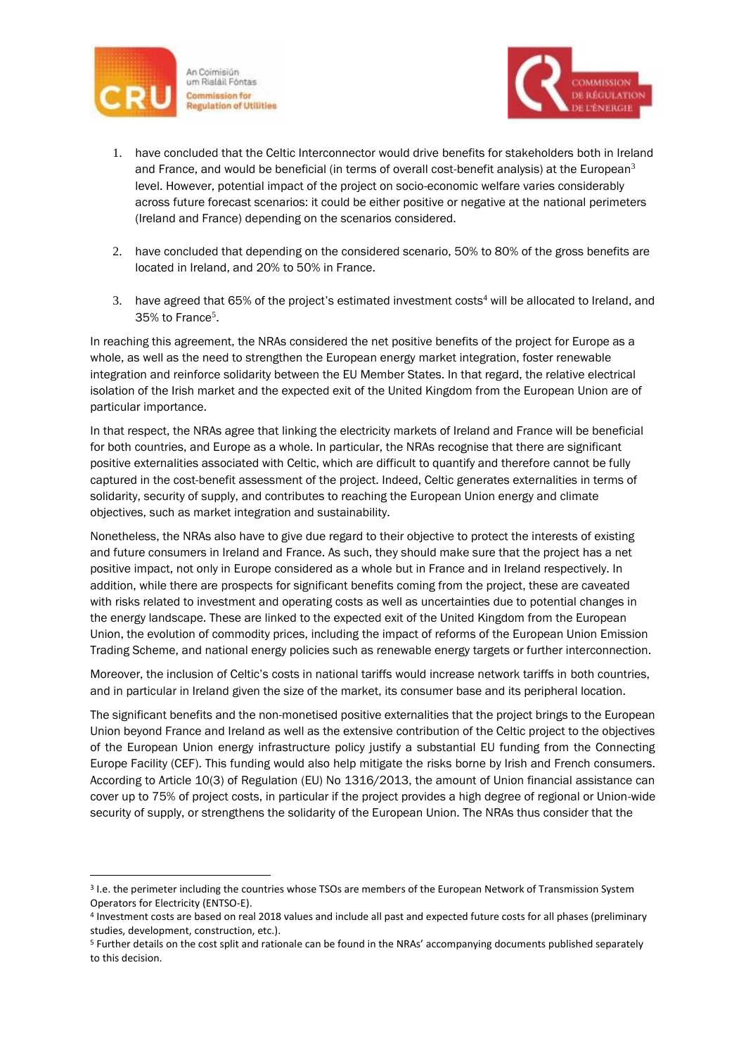

1



- 1. have concluded that the Celtic Interconnector would drive benefits for stakeholders both in Ireland and France, and would be beneficial (in terms of overall cost-benefit analysis) at the European<sup>3</sup> level. However, potential impact of the project on socio-economic welfare varies considerably across future forecast scenarios: it could be either positive or negative at the national perimeters (Ireland and France) depending on the scenarios considered.
- 2. have concluded that depending on the considered scenario, 50% to 80% of the gross benefits are located in Ireland, and 20% to 50% in France.
- 3. have agreed that 65% of the project's estimated investment costs<sup>4</sup> will be allocated to Ireland, and 35% to France<sup>5</sup>.

In reaching this agreement, the NRAs considered the net positive benefits of the project for Europe as a whole, as well as the need to strengthen the European energy market integration, foster renewable integration and reinforce solidarity between the EU Member States. In that regard, the relative electrical isolation of the Irish market and the expected exit of the United Kingdom from the European Union are of particular importance.

In that respect, the NRAs agree that linking the electricity markets of Ireland and France will be beneficial for both countries, and Europe as a whole. In particular, the NRAs recognise that there are significant positive externalities associated with Celtic, which are difficult to quantify and therefore cannot be fully captured in the cost-benefit assessment of the project. Indeed, Celtic generates externalities in terms of solidarity, security of supply, and contributes to reaching the European Union energy and climate objectives, such as market integration and sustainability.

Nonetheless, the NRAs also have to give due regard to their objective to protect the interests of existing and future consumers in Ireland and France. As such, they should make sure that the project has a net positive impact, not only in Europe considered as a whole but in France and in Ireland respectively. In addition, while there are prospects for significant benefits coming from the project, these are caveated with risks related to investment and operating costs as well as uncertainties due to potential changes in the energy landscape. These are linked to the expected exit of the United Kingdom from the European Union, the evolution of commodity prices, including the impact of reforms of the European Union Emission Trading Scheme, and national energy policies such as renewable energy targets or further interconnection.

Moreover, the inclusion of Celtic's costs in national tariffs would increase network tariffs in both countries, and in particular in Ireland given the size of the market, its consumer base and its peripheral location.

The significant benefits and the non-monetised positive externalities that the project brings to the European Union beyond France and Ireland as well as the extensive contribution of the Celtic project to the objectives of the European Union energy infrastructure policy justify a substantial EU funding from the Connecting Europe Facility (CEF). This funding would also help mitigate the risks borne by Irish and French consumers. According to Article 10(3) of Regulation (EU) No 1316/2013, the amount of Union financial assistance can cover up to 75% of project costs, in particular if the project provides a high degree of regional or Union-wide security of supply, or strengthens the solidarity of the European Union. The NRAs thus consider that the

<sup>3</sup> I.e. the perimeter including the countries whose TSOs are members of the European Network of Transmission System Operators for Electricity (ENTSO-E).

<sup>4</sup> Investment costs are based on real 2018 values and include all past and expected future costs for all phases (preliminary studies, development, construction, etc.).

<sup>5</sup> Further details on the cost split and rationale can be found in the NRAs' accompanying documents published separately to this decision.